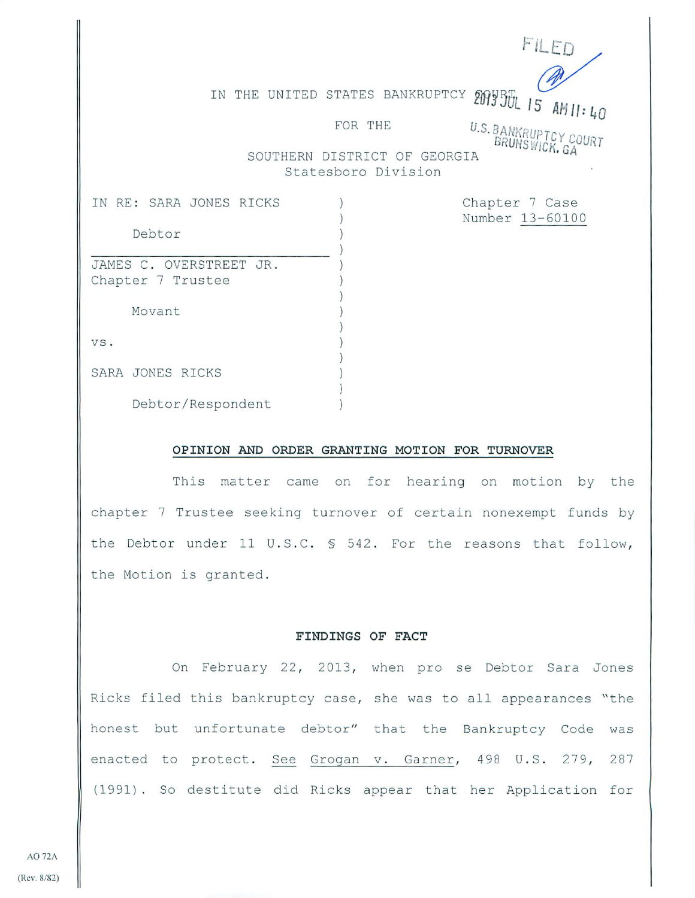FILED

IN THE UNITED STATES BANKRUPTCY 2009 BUL 15 AM11: 40

FOR THE

U.S. BANKRUPTCY COURT<br>ERUNSWICK, GA

SOUTHERN DISTRICT OF GEORGIA Statesboro Division

> $\left( \right)$  $\lambda$

IN RE: SARA JONES RICKS

Debtor

Chapter 7 Case Number 13-60100

JAMES C. OVERSTREET JR. Chapter 7 Trustee

Movant

vs .

SARA JONES RICKS

Debtor/Respondent

### OPINION AND ORDER GRANTING MOTION FOR TURNOVER

This matter came on for hearing on motion by the chapter 7 Trustee seeking turnover of certain nonexempt funds by the Debtor under 11 U.S.C. § 542. For the reasons that follow, the Motion is granted.

### FINDINGS OF FACT

On February 22, 2013, when pro se Debtor Sara Jones Ricks filed this bankruptcy case, she was to all appearances "the honest but unfortunate debtor" that the Bankruptcy Code was enacted to protect. See Grogan v. Garner, 498 U.S. 279, 287 (1991). So destitute did Ricks appear that her Application for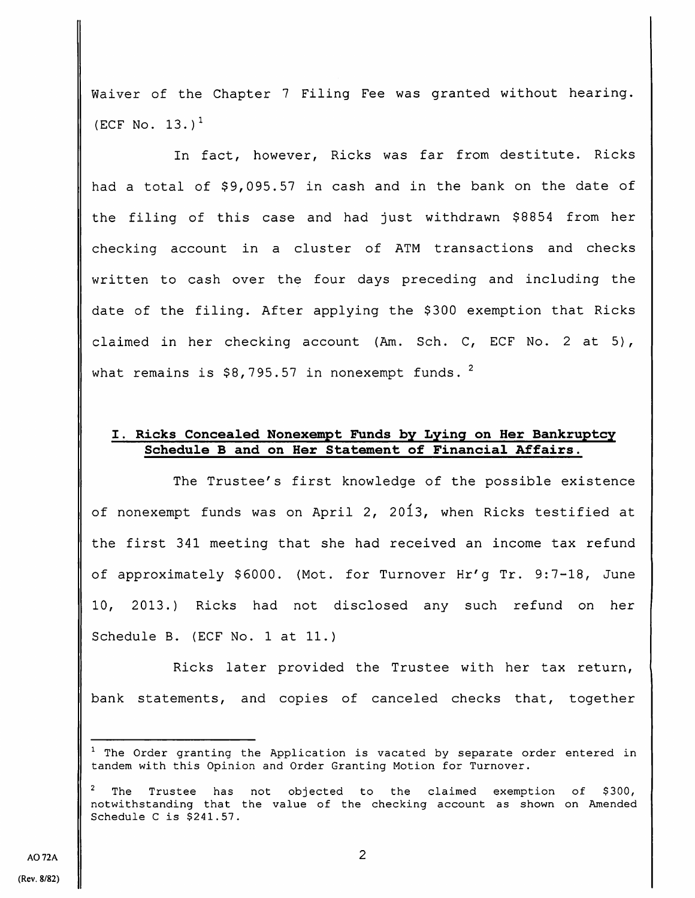Waiver of the Chapter 7 Filing Fee was granted without hearing. (ECF No.  $13.$ )<sup>1</sup>

In fact, however, Ricks was far from destitute. Ricks had a total of \$9,095.57 in cash and in the bank on the date of the filing of this case and had just withdrawn \$8854 from her checking account in a cluster of ATM transactions and checks written to cash over the four days preceding and including the date of the filing. After applying the \$300 exemption that Ricks claimed in her checking account (Am. Sch. C, ECF No. 2 at 5) , what remains is  $$8,795.57$  in nonexempt funds. <sup>2</sup>

# I. Ricks Concealed Nonexempt Funds by Lying on Her Bankruptcy Schedule <sup>B</sup> and on Her Statement of Financial Affairs.

The Trustee's first knowledge of the possible existence of nonexempt funds was on April 2, 2013, when Ricks testified at the first 341 meeting that she had received an income tax refund of approximately \$6000. (Mot. for Turnover Hr'g Tr. 9:7-18, June 10, 2013.) Ricks had not disclosed any such refund on her Schedule B. (ECF No. 1 at 11.)

Ricks later provided the Trustee with her tax return, bank statements, and copies of canceled checks that, together

 $1$  The Order granting the Application is vacated by separate order entered in tandem with this Opinion and Order Granting Motion for Turnover.

The Trustee has not objected to the claimed exemption of \$300, notwithstanding that the value of the checking account as shown on Amended Schedule C is \$241.57.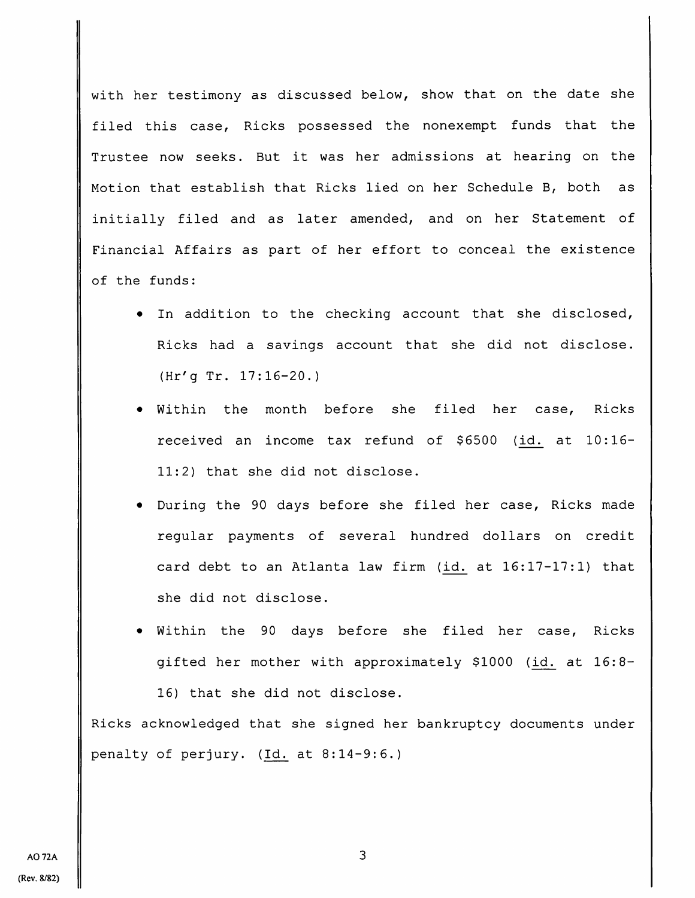with her testimony as discussed below, show that on the date she filed this case, Ricks possessed the nonexempt funds that the Trustee now seeks. But it was her admissions at hearing on the Motion that establish that Ricks lied on her Schedule B, both as initially filed and as later amended, and on her Statement of Financial Affairs as part of her effort to conceal the existence of the funds:

- In addition to the checking account that she disclosed, Ricks had a savings account that she did not disclose. (Hr'g Tr. 17:16-20.)
- Within the month before she filed her case, Ricks received an income tax refund of \$6500 (id. at 10:16- 11:2) that she did not disclose.
- During the 90 days before she filed her case, Ricks made regular payments of several hundred dollars on credit card debt to an Atlanta law firm (id. at 16:17-17:1) that she did not disclose.
- Within the 90 days before she filed her case, Ricks gifted her mother with approximately \$1000 (id. at 16:8-

16) that she did not disclose.

Ricks acknowledged that she signed her bankruptcy documents under penalty of perjury. (Id. at 8:14-9:6.)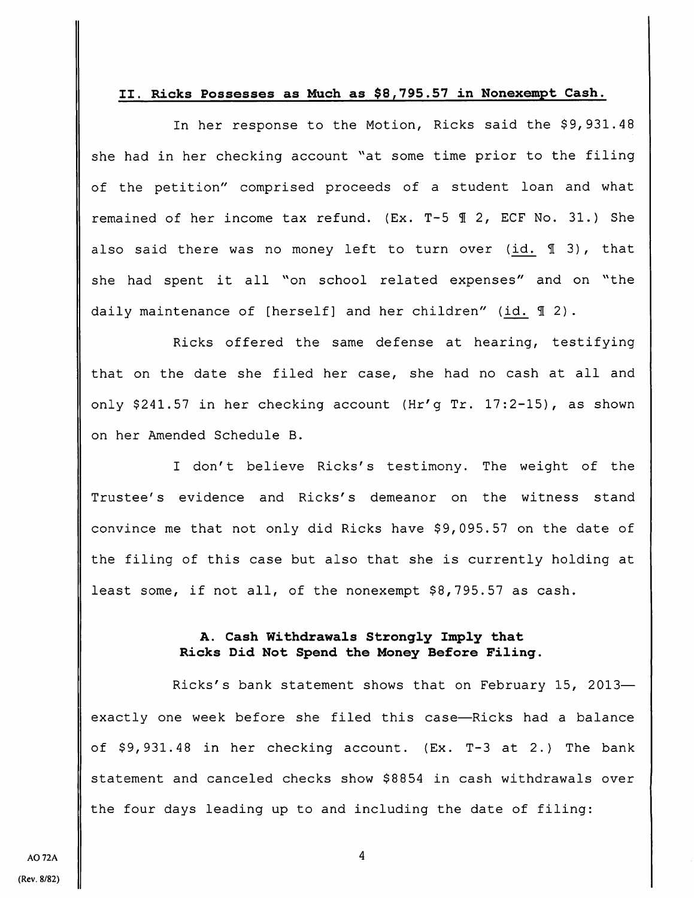#### II. Ricks Possesses as Much as \$8,795.57 in Nonexempt Cash.

In her response to the Motion, Ricks said the \$9,931.48 she had in her checking account "at some time prior to the filing of the petition" comprised proceeds of a student loan and what remained of her income tax refund. (Ex. T-5 \ \ 2, ECF No. 31.) She also said there was no money left to turn over (id.  $\text{\texttt{I}}$  3), that she had spent it all "on school related expenses" and on "the daily maintenance of [herself] and her children" (id.  $\text{\textsterling}$  2).

Ricks offered the same defense at hearing, testifying that on the date she filed her case, she had no cash at all and only \$241.57 in her checking account (Hr'g Tr. 17:2-15), as shown on her Amended Schedule B.

I don't believe Ricks's testimony. The weight of the Trustee's evidence and Ricks's demeanor on the witness stand convince me that not only did Ricks have \$9,095.57 on the date of the filing of this case but also that she is currently holding at least some, if not all, of the nonexempt \$8,795.57 as cash.

# A. Cash Withdrawals Strongly Imply that Ricks Did Not Spend the Money Before Filing.

Ricks's bank statement shows that on February 15, 2013 exactly one week before she filed this case—Ricks had a balance of \$9,931.48 in her checking account. (Ex. T-3 at 2.) The bank statement and canceled checks show \$8854 in cash withdrawals over the four days leading up to and including the date of filing:

4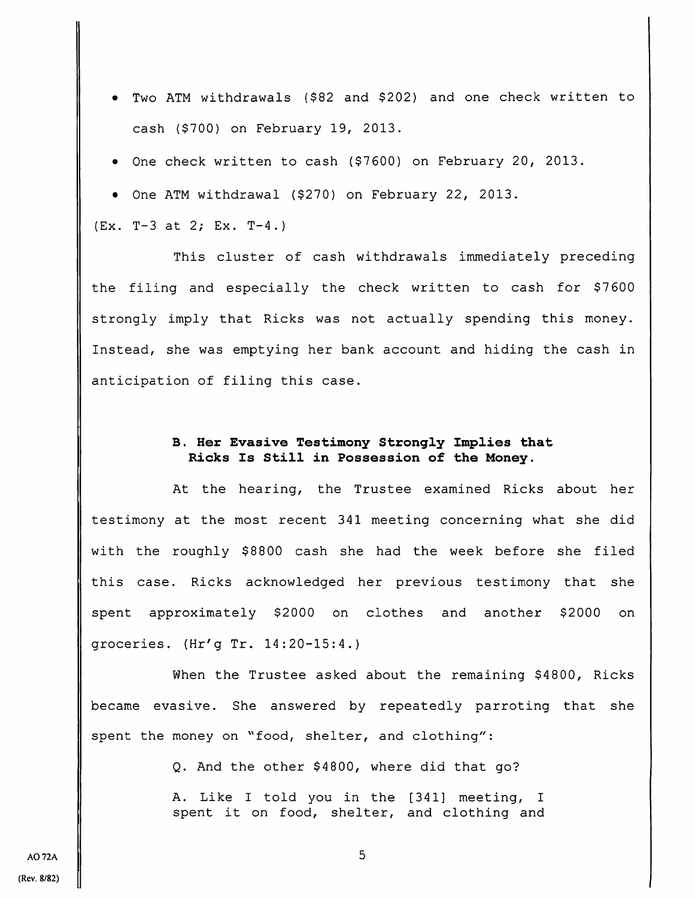- Two ATM withdrawals (\$82 and \$202) and one check written to cash (\$700) on February 19, 2013.
- One check written to cash (\$7600) on February 20, 2013.
- One ATM withdrawal (\$270) on February 22, 2013.

 $(Ex. T-3 at 2; Ex. T-4.)$ 

This cluster of cash withdrawals immediately preceding the filing and especially the check written to cash for \$7600 strongly imply that Ricks was not actually spending this money. Instead, she was emptying her bank account and hiding the cash in anticipation of filing this case.

## B. Her Evasive Testimony Strongly Implies that Ricks Is Still in Possession of the Money.

At the hearing, the Trustee examined Ricks about her testimony at the most recent 341 meeting concerning what she did with the roughly \$8800 cash she had the week before she filed this case. Ricks acknowledged her previous testimony that she spent approximately \$2000 on clothes and another \$2000 on groceries. (Hr'g Tr. 14:20-15:4.)

When the Trustee asked about the remaining \$4800, Ricks became evasive. She answered by repeatedly parroting that she spent the money on "food, shelter, and clothing":

Q. And the other \$4800, where did that go?

A. Like I told you in the [341] meeting, I spent it on food, shelter, and clothing and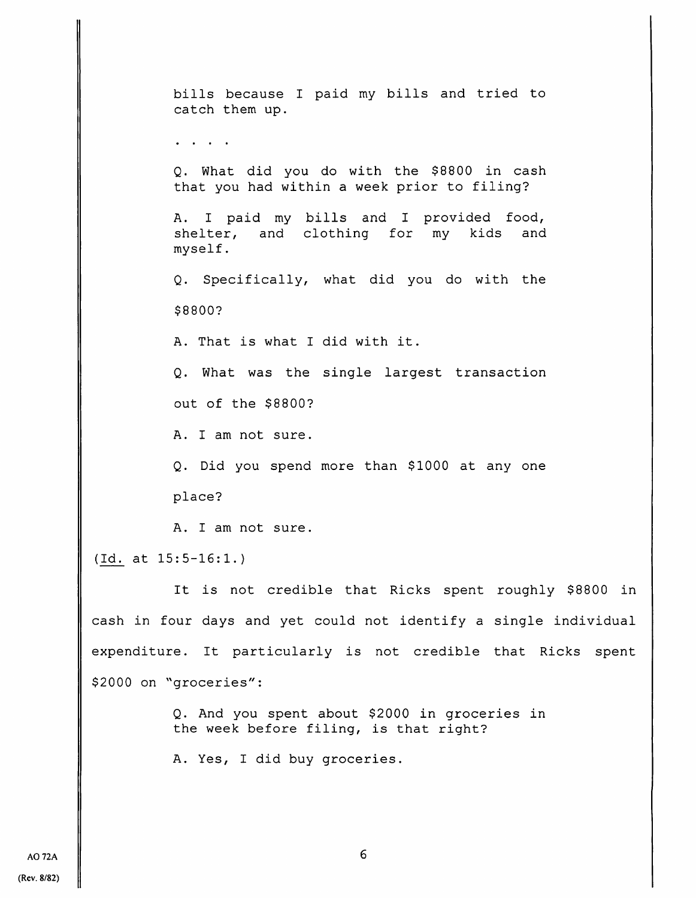bills because I paid my bills and tried to catch them up.  $\bullet$  . <br> <br> <br> <br> <br> <br> <br> <br> <br><br><br> <br><br> Q. What did you do with the \$8800 in cash that you had within a week prior to filing? A. I paid my bills and I provided food, shelter, and clothing for my kids and myself. Q. Specifically, what did you do with the \$8800? A. That is what I did with it. Q. What was the single largest transaction out of the \$8800? A. <sup>I</sup> am not sure. Q. Did you spend more than \$1000 at any one place? A. <sup>I</sup> am not sure. (Id. at 15:5-16:1.) It is not credible that Ricks spent roughly \$8800 in cash in four days and yet could not identify a single individual expenditure. It particularly is not credible that Ricks spent \$2000 on "groceries": Q. And you spent about \$2000 in groceries in the week before filing, is that right? A. Yes, I did buy groceries.

A0 72A (Rev. 8/82)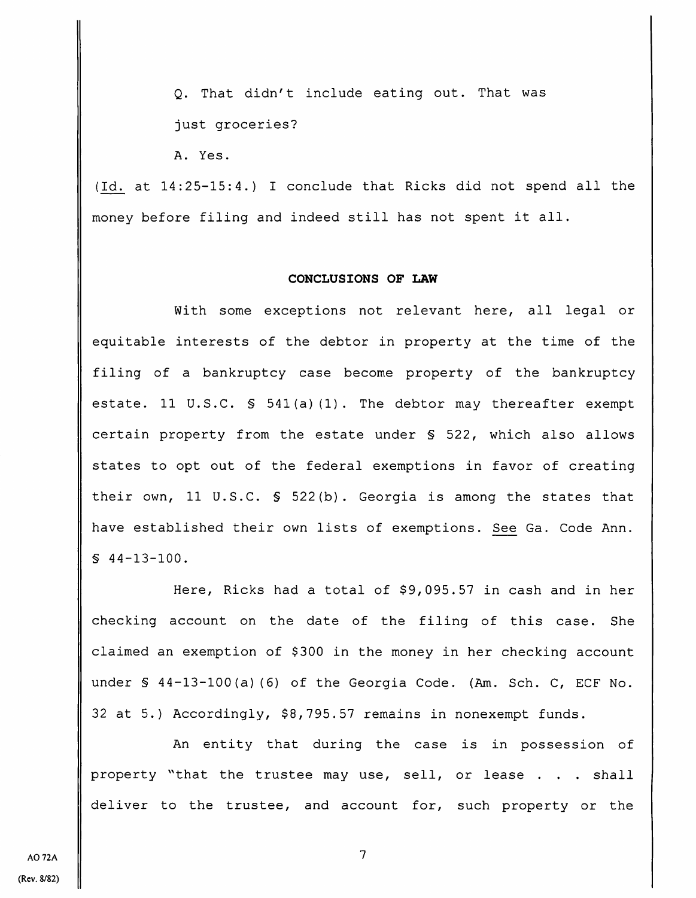Q. That didn't include eating out. That was just groceries?

A. Yes.

(Id. at 14:25-15:4.) I conclude that Ricks did not spend all the money before filing and indeed still has not spent it all.

#### CONCLUSIONS OF LAW

With some exceptions not relevant here, all legal or equitable interests of the debtor in property at the time of the filing of a bankruptcy case become property of the bankruptcy estate. 11 U.S.C. § 541(a) (1). The debtor may thereafter exempt certain property from the estate under § 522, which also allows states to opt out of the federal exemptions in favor of creating their own, 11 U.S.C. § 522(b). Georgia is among the states that have established their own lists of exemptions. See Ga. Code Ann.  $$44-13-100.$ 

Here, Ricks had a total of \$9,095.57 in cash and in her checking account on the date of the filing of this case. She claimed an exemption of \$300 in the money in her checking account under § 44-13-100(a)(6) of the Georgia Code. (Am. Sch. C, ECF No. 32 at 5.) Accordingly, \$8,795.57 remains in nonexempt funds.

An entity that during the case is in possession of property "that the trustee may use, sell, or lease . . . shall deliver to the trustee, and account for, such property or the

7